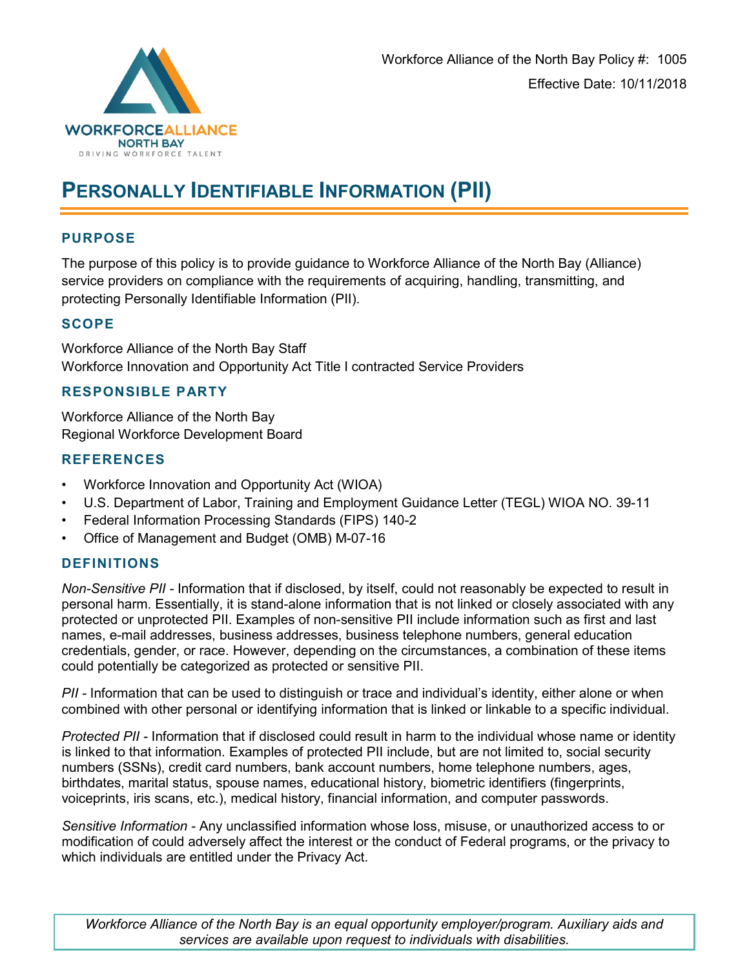

# **PERSONALLY IDENTIFIABLE INFORMATION (PII)**

#### **PURPOSE**

The purpose of this policy is to provide guidance to Workforce Alliance of the North Bay (Alliance) service providers on compliance with the requirements of acquiring, handling, transmitting, and protecting Personally Identifiable Information (PII).

#### **SCOPE**

Workforce Alliance of the North Bay Staff Workforce Innovation and Opportunity Act Title I contracted Service Providers

## **RESPONSIBLE PARTY**

Workforce Alliance of the North Bay Regional Workforce Development Board

#### **REFERENCES**

- Workforce Innovation and Opportunity Act (WIOA)
- U.S. Department of Labor, Training and Employment Guidance Letter (TEGL) WIOA NO. 39-11
- Federal Information Processing Standards (FIPS) 140-2
- Office of Management and Budget (OMB) M-07-16

## **DEFINITIONS**

*Non-Sensitive PII -* Information that if disclosed, by itself, could not reasonably be expected to result in personal harm. Essentially, it is stand-alone information that is not linked or closely associated with any protected or unprotected PII. Examples of non-sensitive PII include information such as first and last names, e-mail addresses, business addresses, business telephone numbers, general education credentials, gender, or race. However, depending on the circumstances, a combination of these items could potentially be categorized as protected or sensitive PII.

*PII -* Information that can be used to distinguish or trace and individual's identity, either alone or when combined with other personal or identifying information that is linked or linkable to a specific individual.

*Protected PII -* Information that if disclosed could result in harm to the individual whose name or identity is linked to that information. Examples of protected PII include, but are not limited to, social security numbers (SSNs), credit card numbers, bank account numbers, home telephone numbers, ages, birthdates, marital status, spouse names, educational history, biometric identifiers (fingerprints, voiceprints, iris scans, etc.), medical history, financial information, and computer passwords.

*Sensitive Information -* Any unclassified information whose loss, misuse, or unauthorized access to or modification of could adversely affect the interest or the conduct of Federal programs, or the privacy to which individuals are entitled under the Privacy Act.

*Workforce Alliance of the North Bay is an equal opportunity employer/program. Auxiliary aids and services are available upon request to individuals with disabilities.*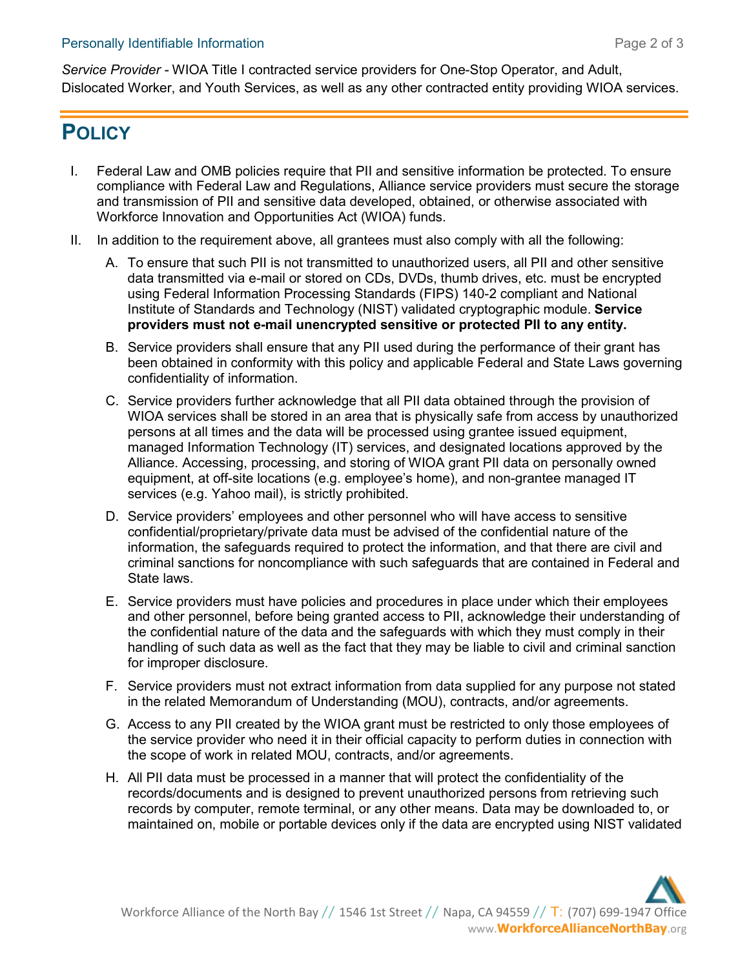*Service Provider -* WIOA Title I contracted service providers for One-Stop Operator, and Adult, Dislocated Worker, and Youth Services, as well as any other contracted entity providing WIOA services.

# **POLICY**

- I. Federal Law and OMB policies require that PII and sensitive information be protected. To ensure compliance with Federal Law and Regulations, Alliance service providers must secure the storage and transmission of PII and sensitive data developed, obtained, or otherwise associated with Workforce Innovation and Opportunities Act (WIOA) funds.
- II. In addition to the requirement above, all grantees must also comply with all the following:
	- A. To ensure that such PII is not transmitted to unauthorized users, all PII and other sensitive data transmitted via e-mail or stored on CDs, DVDs, thumb drives, etc. must be encrypted using Federal Information Processing Standards (FIPS) 140-2 compliant and National Institute of Standards and Technology (NIST) validated cryptographic module. **Service providers must not e-mail unencrypted sensitive or protected PII to any entity.**
	- B. Service providers shall ensure that any PII used during the performance of their grant has been obtained in conformity with this policy and applicable Federal and State Laws governing confidentiality of information.
	- C. Service providers further acknowledge that all PII data obtained through the provision of WIOA services shall be stored in an area that is physically safe from access by unauthorized persons at all times and the data will be processed using grantee issued equipment, managed Information Technology (IT) services, and designated locations approved by the Alliance. Accessing, processing, and storing of WIOA grant PII data on personally owned equipment, at off-site locations (e.g. employee's home), and non-grantee managed IT services (e.g. Yahoo mail), is strictly prohibited.
	- D. Service providers' employees and other personnel who will have access to sensitive confidential/proprietary/private data must be advised of the confidential nature of the information, the safeguards required to protect the information, and that there are civil and criminal sanctions for noncompliance with such safeguards that are contained in Federal and State laws.
	- E. Service providers must have policies and procedures in place under which their employees and other personnel, before being granted access to PII, acknowledge their understanding of the confidential nature of the data and the safeguards with which they must comply in their handling of such data as well as the fact that they may be liable to civil and criminal sanction for improper disclosure.
	- F. Service providers must not extract information from data supplied for any purpose not stated in the related Memorandum of Understanding (MOU), contracts, and/or agreements.
	- G. Access to any PII created by the WIOA grant must be restricted to only those employees of the service provider who need it in their official capacity to perform duties in connection with the scope of work in related MOU, contracts, and/or agreements.
	- H. All PII data must be processed in a manner that will protect the confidentiality of the records/documents and is designed to prevent unauthorized persons from retrieving such records by computer, remote terminal, or any other means. Data may be downloaded to, or maintained on, mobile or portable devices only if the data are encrypted using NIST validated